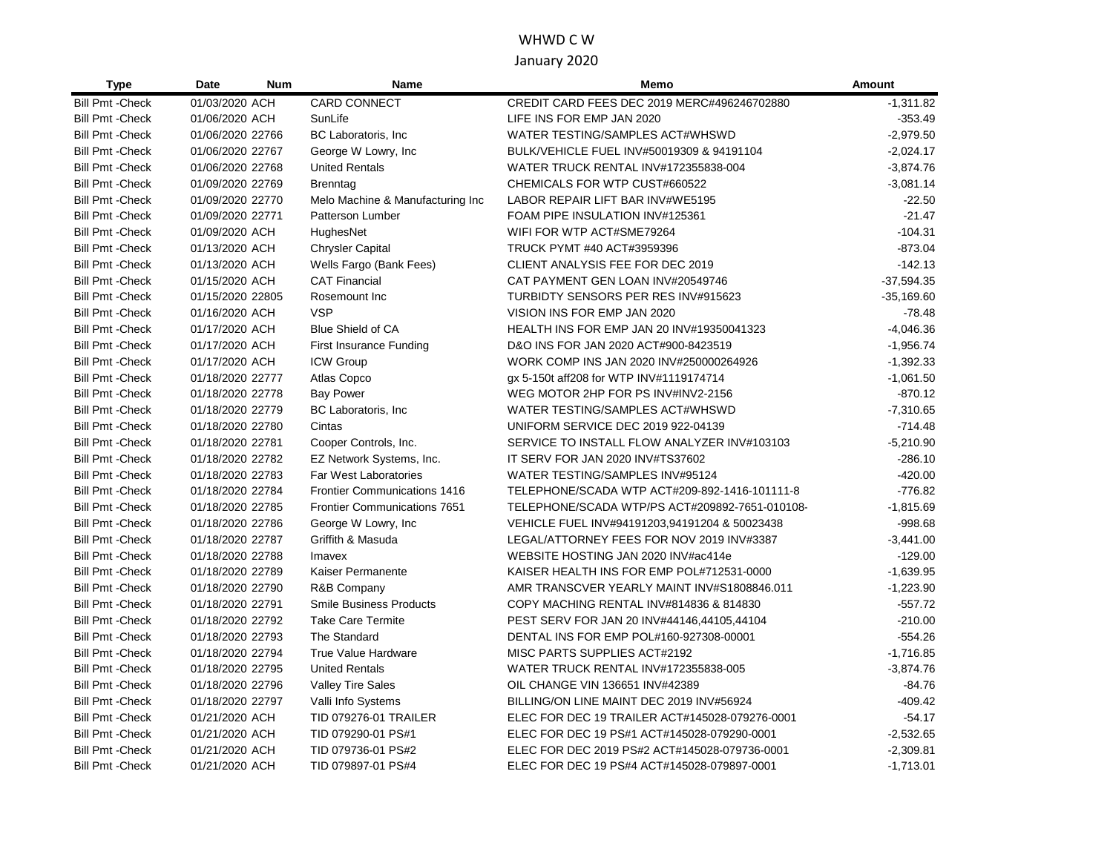# WHWD C W January 2020

| <b>Type</b>             | Date             | <b>Num</b> | <b>Name</b>                         | Memo                                           | <b>Amount</b> |
|-------------------------|------------------|------------|-------------------------------------|------------------------------------------------|---------------|
| <b>Bill Pmt - Check</b> | 01/03/2020 ACH   |            | <b>CARD CONNECT</b>                 | CREDIT CARD FEES DEC 2019 MERC#496246702880    | $-1,311.82$   |
| <b>Bill Pmt - Check</b> | 01/06/2020 ACH   |            | SunLife                             | LIFE INS FOR EMP JAN 2020                      | $-353.49$     |
| <b>Bill Pmt - Check</b> | 01/06/2020 22766 |            | BC Laboratoris, Inc                 | WATER TESTING/SAMPLES ACT#WHSWD                | $-2,979.50$   |
| <b>Bill Pmt - Check</b> | 01/06/2020 22767 |            | George W Lowry, Inc.                | BULK/VEHICLE FUEL INV#50019309 & 94191104      | $-2,024.17$   |
| <b>Bill Pmt - Check</b> | 01/06/2020 22768 |            | <b>United Rentals</b>               | WATER TRUCK RENTAL INV#172355838-004           | $-3,874.76$   |
| <b>Bill Pmt - Check</b> | 01/09/2020 22769 |            | Brenntag                            | CHEMICALS FOR WTP CUST#660522                  | $-3,081.14$   |
| <b>Bill Pmt - Check</b> | 01/09/2020 22770 |            | Melo Machine & Manufacturing Inc    | LABOR REPAIR LIFT BAR INV#WE5195               | $-22.50$      |
| <b>Bill Pmt - Check</b> | 01/09/2020 22771 |            | Patterson Lumber                    | FOAM PIPE INSULATION INV#125361                | $-21.47$      |
| <b>Bill Pmt - Check</b> | 01/09/2020 ACH   |            | HughesNet                           | WIFI FOR WTP ACT#SME79264                      | $-104.31$     |
| <b>Bill Pmt - Check</b> | 01/13/2020 ACH   |            | <b>Chrysler Capital</b>             | TRUCK PYMT #40 ACT#3959396                     | $-873.04$     |
| <b>Bill Pmt - Check</b> | 01/13/2020 ACH   |            | Wells Fargo (Bank Fees)             | CLIENT ANALYSIS FEE FOR DEC 2019               | $-142.13$     |
| <b>Bill Pmt - Check</b> | 01/15/2020 ACH   |            | <b>CAT Financial</b>                | CAT PAYMENT GEN LOAN INV#20549746              | $-37,594.35$  |
| <b>Bill Pmt - Check</b> | 01/15/2020 22805 |            | Rosemount Inc                       | TURBIDTY SENSORS PER RES INV#915623            | $-35,169.60$  |
| <b>Bill Pmt - Check</b> | 01/16/2020 ACH   |            | <b>VSP</b>                          | VISION INS FOR EMP JAN 2020                    | $-78.48$      |
| <b>Bill Pmt - Check</b> | 01/17/2020 ACH   |            | <b>Blue Shield of CA</b>            | HEALTH INS FOR EMP JAN 20 INV#19350041323      | $-4,046.36$   |
| <b>Bill Pmt - Check</b> | 01/17/2020 ACH   |            | First Insurance Funding             | D&O INS FOR JAN 2020 ACT#900-8423519           | $-1,956.74$   |
| <b>Bill Pmt - Check</b> | 01/17/2020 ACH   |            | <b>ICW Group</b>                    | WORK COMP INS JAN 2020 INV#250000264926        | $-1,392.33$   |
| <b>Bill Pmt - Check</b> | 01/18/2020 22777 |            | Atlas Copco                         | gx 5-150t aff208 for WTP INV#1119174714        | $-1,061.50$   |
| <b>Bill Pmt - Check</b> | 01/18/2020 22778 |            | <b>Bay Power</b>                    | WEG MOTOR 2HP FOR PS INV#INV2-2156             | $-870.12$     |
| <b>Bill Pmt - Check</b> | 01/18/2020 22779 |            | BC Laboratoris, Inc.                | WATER TESTING/SAMPLES ACT#WHSWD                | $-7,310.65$   |
| <b>Bill Pmt - Check</b> | 01/18/2020 22780 |            | Cintas                              | UNIFORM SERVICE DEC 2019 922-04139             | $-714.48$     |
| <b>Bill Pmt - Check</b> | 01/18/2020 22781 |            | Cooper Controls, Inc.               | SERVICE TO INSTALL FLOW ANALYZER INV#103103    | $-5,210.90$   |
| <b>Bill Pmt - Check</b> | 01/18/2020 22782 |            | EZ Network Systems, Inc.            | IT SERV FOR JAN 2020 INV#TS37602               | $-286.10$     |
| <b>Bill Pmt - Check</b> | 01/18/2020 22783 |            | Far West Laboratories               | WATER TESTING/SAMPLES INV#95124                | $-420.00$     |
| <b>Bill Pmt - Check</b> | 01/18/2020 22784 |            | <b>Frontier Communications 1416</b> | TELEPHONE/SCADA WTP ACT#209-892-1416-101111-8  | $-776.82$     |
| <b>Bill Pmt - Check</b> | 01/18/2020 22785 |            | <b>Frontier Communications 7651</b> | TELEPHONE/SCADA WTP/PS ACT#209892-7651-010108- | $-1,815.69$   |
| <b>Bill Pmt - Check</b> | 01/18/2020 22786 |            | George W Lowry, Inc.                | VEHICLE FUEL INV#94191203,94191204 & 50023438  | $-998.68$     |
| <b>Bill Pmt - Check</b> | 01/18/2020 22787 |            | Griffith & Masuda                   | LEGAL/ATTORNEY FEES FOR NOV 2019 INV#3387      | $-3,441.00$   |
| <b>Bill Pmt - Check</b> | 01/18/2020 22788 |            | Imavex                              | WEBSITE HOSTING JAN 2020 INV#ac414e            | $-129.00$     |
| <b>Bill Pmt - Check</b> | 01/18/2020 22789 |            | Kaiser Permanente                   | KAISER HEALTH INS FOR EMP POL#712531-0000      | $-1,639.95$   |
| <b>Bill Pmt - Check</b> | 01/18/2020 22790 |            | R&B Company                         | AMR TRANSCVER YEARLY MAINT INV#S1808846.011    | $-1,223.90$   |
| <b>Bill Pmt - Check</b> | 01/18/2020 22791 |            | <b>Smile Business Products</b>      | COPY MACHING RENTAL INV#814836 & 814830        | $-557.72$     |
| <b>Bill Pmt - Check</b> | 01/18/2020 22792 |            | <b>Take Care Termite</b>            | PEST SERV FOR JAN 20 INV#44146,44105,44104     | $-210.00$     |
| <b>Bill Pmt - Check</b> | 01/18/2020 22793 |            | The Standard                        | DENTAL INS FOR EMP POL#160-927308-00001        | $-554.26$     |
| <b>Bill Pmt - Check</b> | 01/18/2020 22794 |            | <b>True Value Hardware</b>          | MISC PARTS SUPPLIES ACT#2192                   | $-1,716.85$   |
| <b>Bill Pmt - Check</b> | 01/18/2020 22795 |            | <b>United Rentals</b>               | WATER TRUCK RENTAL INV#172355838-005           | $-3,874.76$   |
| <b>Bill Pmt - Check</b> | 01/18/2020 22796 |            | <b>Valley Tire Sales</b>            | OIL CHANGE VIN 136651 INV#42389                | $-84.76$      |
| <b>Bill Pmt - Check</b> | 01/18/2020 22797 |            | Valli Info Systems                  | BILLING/ON LINE MAINT DEC 2019 INV#56924       | $-409.42$     |
| <b>Bill Pmt - Check</b> | 01/21/2020 ACH   |            | <b>TID 079276-01 TRAILER</b>        | ELEC FOR DEC 19 TRAILER ACT#145028-079276-0001 | $-54.17$      |
| <b>Bill Pmt - Check</b> | 01/21/2020 ACH   |            | TID 079290-01 PS#1                  | ELEC FOR DEC 19 PS#1 ACT#145028-079290-0001    | $-2,532.65$   |
| <b>Bill Pmt - Check</b> | 01/21/2020 ACH   |            | TID 079736-01 PS#2                  | ELEC FOR DEC 2019 PS#2 ACT#145028-079736-0001  | $-2,309.81$   |
| <b>Bill Pmt - Check</b> | 01/21/2020 ACH   |            | TID 079897-01 PS#4                  | ELEC FOR DEC 19 PS#4 ACT#145028-079897-0001    | $-1,713.01$   |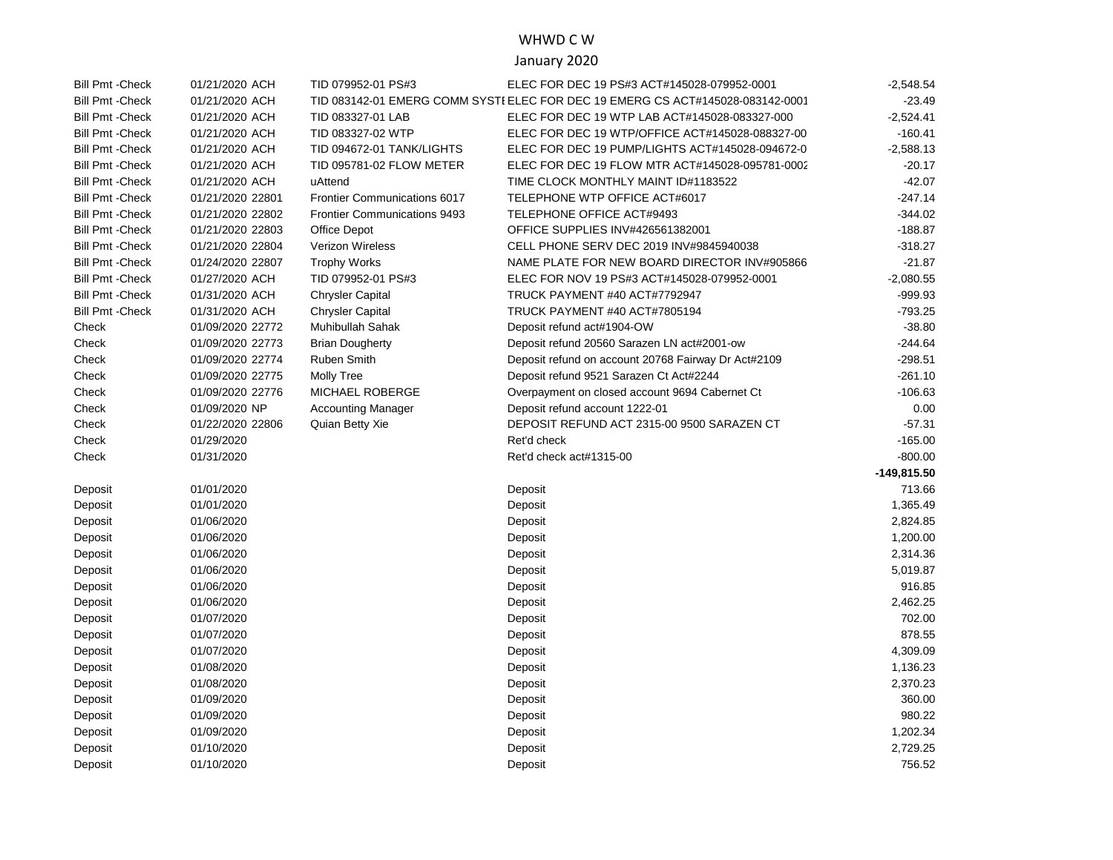#### WHWD C W

### January 2020

| <b>Bill Pmt - Check</b> | 01/21/2020 ACH   | TID 079952-01 PS#3                  | ELEC FOR DEC 19 PS#3 ACT#145028-079952-0001                                    | $-2,548.54$   |
|-------------------------|------------------|-------------------------------------|--------------------------------------------------------------------------------|---------------|
| <b>Bill Pmt - Check</b> | 01/21/2020 ACH   |                                     | TID 083142-01 EMERG COMM SYSTI ELEC FOR DEC 19 EMERG CS ACT#145028-083142-0001 | $-23.49$      |
| <b>Bill Pmt - Check</b> | 01/21/2020 ACH   | TID 083327-01 LAB                   | ELEC FOR DEC 19 WTP LAB ACT#145028-083327-000                                  | $-2,524.41$   |
| <b>Bill Pmt - Check</b> | 01/21/2020 ACH   | TID 083327-02 WTP                   | ELEC FOR DEC 19 WTP/OFFICE ACT#145028-088327-00                                | $-160.41$     |
| <b>Bill Pmt - Check</b> | 01/21/2020 ACH   | TID 094672-01 TANK/LIGHTS           | ELEC FOR DEC 19 PUMP/LIGHTS ACT#145028-094672-0                                | $-2,588.13$   |
| <b>Bill Pmt - Check</b> | 01/21/2020 ACH   | TID 095781-02 FLOW METER            | ELEC FOR DEC 19 FLOW MTR ACT#145028-095781-0002                                | $-20.17$      |
| <b>Bill Pmt - Check</b> | 01/21/2020 ACH   | uAttend                             | TIME CLOCK MONTHLY MAINT ID#1183522                                            | $-42.07$      |
| <b>Bill Pmt - Check</b> | 01/21/2020 22801 | Frontier Communications 6017        | TELEPHONE WTP OFFICE ACT#6017                                                  | $-247.14$     |
| <b>Bill Pmt - Check</b> | 01/21/2020 22802 | <b>Frontier Communications 9493</b> | TELEPHONE OFFICE ACT#9493                                                      | $-344.02$     |
| <b>Bill Pmt - Check</b> | 01/21/2020 22803 | Office Depot                        | OFFICE SUPPLIES INV#426561382001                                               | $-188.87$     |
| <b>Bill Pmt - Check</b> | 01/21/2020 22804 | Verizon Wireless                    | CELL PHONE SERV DEC 2019 INV#9845940038                                        | $-318.27$     |
| <b>Bill Pmt - Check</b> | 01/24/2020 22807 | <b>Trophy Works</b>                 | NAME PLATE FOR NEW BOARD DIRECTOR INV#905866                                   | $-21.87$      |
| <b>Bill Pmt - Check</b> | 01/27/2020 ACH   | TID 079952-01 PS#3                  | ELEC FOR NOV 19 PS#3 ACT#145028-079952-0001                                    | $-2,080.55$   |
| <b>Bill Pmt - Check</b> | 01/31/2020 ACH   | <b>Chrysler Capital</b>             | TRUCK PAYMENT #40 ACT#7792947                                                  | $-999.93$     |
| <b>Bill Pmt - Check</b> | 01/31/2020 ACH   | <b>Chrysler Capital</b>             | TRUCK PAYMENT #40 ACT#7805194                                                  | $-793.25$     |
| Check                   | 01/09/2020 22772 | Muhibullah Sahak                    | Deposit refund act#1904-OW                                                     | $-38.80$      |
| Check                   | 01/09/2020 22773 | <b>Brian Dougherty</b>              | Deposit refund 20560 Sarazen LN act#2001-ow                                    | $-244.64$     |
| Check                   | 01/09/2020 22774 | <b>Ruben Smith</b>                  | Deposit refund on account 20768 Fairway Dr Act#2109                            | $-298.51$     |
| Check                   | 01/09/2020 22775 | <b>Molly Tree</b>                   | Deposit refund 9521 Sarazen Ct Act#2244                                        | $-261.10$     |
| Check                   | 01/09/2020 22776 | MICHAEL ROBERGE                     | Overpayment on closed account 9694 Cabernet Ct                                 | $-106.63$     |
| Check                   | 01/09/2020 NP    | <b>Accounting Manager</b>           | Deposit refund account 1222-01                                                 | 0.00          |
| Check                   | 01/22/2020 22806 | Quian Betty Xie                     | DEPOSIT REFUND ACT 2315-00 9500 SARAZEN CT                                     | $-57.31$      |
| Check                   | 01/29/2020       |                                     | Ret'd check                                                                    | $-165.00$     |
| Check                   | 01/31/2020       |                                     | Ret'd check act#1315-00                                                        | $-800.00$     |
|                         |                  |                                     |                                                                                | $-149,815.50$ |
| Deposit                 | 01/01/2020       |                                     | Deposit                                                                        | 713.66        |
| Deposit                 | 01/01/2020       |                                     | Deposit                                                                        | 1,365.49      |
| Deposit                 | 01/06/2020       |                                     | Deposit                                                                        | 2,824.85      |
| Deposit                 | 01/06/2020       |                                     | Deposit                                                                        | 1,200.00      |
| Deposit                 | 01/06/2020       |                                     | Deposit                                                                        | 2,314.36      |
| Deposit                 | 01/06/2020       |                                     | Deposit                                                                        | 5,019.87      |
| Deposit                 | 01/06/2020       |                                     | Deposit                                                                        | 916.85        |
| Deposit                 | 01/06/2020       |                                     | Deposit                                                                        | 2,462.25      |
| Deposit                 | 01/07/2020       |                                     | Deposit                                                                        | 702.00        |
| Deposit                 | 01/07/2020       |                                     | Deposit                                                                        | 878.55        |
| Deposit                 | 01/07/2020       |                                     | Deposit                                                                        | 4,309.09      |
| Deposit                 | 01/08/2020       |                                     | Deposit                                                                        | 1,136.23      |
| Deposit                 | 01/08/2020       |                                     | Deposit                                                                        | 2,370.23      |
| Deposit                 | 01/09/2020       |                                     | Deposit                                                                        | 360.00        |
| Deposit                 | 01/09/2020       |                                     | Deposit                                                                        | 980.22        |
| Deposit                 | 01/09/2020       |                                     | Deposit                                                                        | 1,202.34      |
| Deposit                 | 01/10/2020       |                                     | Deposit                                                                        | 2,729.25      |
| Deposit                 | 01/10/2020       |                                     | Deposit                                                                        | 756.52        |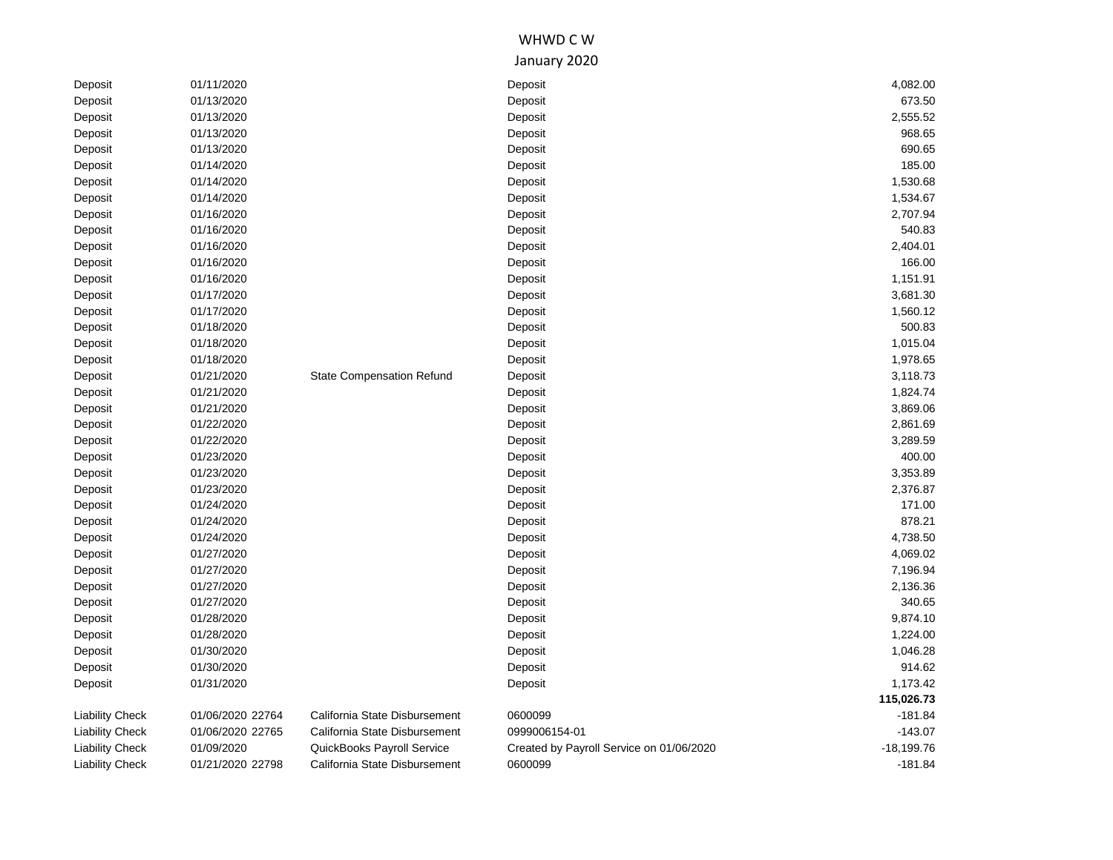# WHWD C W January 2020

| 01/13/2020<br>673.50<br>Deposit<br>Deposit<br>01/13/2020<br>2,555.52<br>Deposit<br>Deposit<br>01/13/2020<br>968.65<br>Deposit<br>Deposit<br>690.65<br>01/13/2020<br>Deposit<br>Deposit<br>01/14/2020<br>185.00<br>Deposit<br>Deposit<br>01/14/2020<br>1,530.68<br>Deposit<br>Deposit<br>Deposit<br>01/14/2020<br>1,534.67<br>Deposit<br>01/16/2020<br>2,707.94<br>Deposit<br>Deposit<br>01/16/2020<br>540.83<br>Deposit<br>Deposit<br>01/16/2020<br>2,404.01<br>Deposit<br>Deposit<br>01/16/2020<br>166.00<br>Deposit<br>Deposit<br>01/16/2020<br>1,151.91<br>Deposit<br>Deposit<br>01/17/2020<br>3,681.30<br>Deposit<br>Deposit<br>Deposit<br>01/17/2020<br>1,560.12<br>Deposit<br>500.83<br>Deposit<br>01/18/2020<br>Deposit<br>01/18/2020<br>1,015.04<br>Deposit<br>Deposit<br>01/18/2020<br>1,978.65<br>Deposit<br>Deposit<br>01/21/2020<br>3,118.73<br>Deposit<br><b>State Compensation Refund</b><br>Deposit<br>01/21/2020<br>1,824.74<br>Deposit<br>Deposit<br>01/21/2020<br>3,869.06<br>Deposit<br>Deposit<br>2,861.69<br>01/22/2020<br>Deposit<br>Deposit<br>01/22/2020<br>3,289.59<br>Deposit<br>Deposit<br>01/23/2020<br>400.00<br>Deposit<br>Deposit<br>01/23/2020<br>3,353.89<br>Deposit<br>Deposit<br>01/23/2020<br>2,376.87<br>Deposit<br>Deposit<br>171.00<br>Deposit<br>01/24/2020<br>Deposit<br>01/24/2020<br>878.21<br>Deposit<br>Deposit<br>01/24/2020<br>4,738.50<br>Deposit<br>Deposit<br>4,069.02<br>Deposit<br>01/27/2020<br>Deposit<br>Deposit<br>01/27/2020<br>7,196.94<br>Deposit<br>01/27/2020<br>Deposit<br>2,136.36<br>Deposit<br>340.65<br>Deposit<br>01/27/2020<br>Deposit<br>9,874.10<br>01/28/2020<br>Deposit<br>Deposit<br>01/28/2020<br>1,224.00<br>Deposit<br>Deposit<br>01/30/2020<br>1,046.28<br>Deposit<br>Deposit<br>914.62<br>01/30/2020<br>Deposit<br>Deposit<br>1,173.42<br>01/31/2020<br>Deposit<br>Deposit<br>115,026.73<br>California State Disbursement<br>$-181.84$<br>01/06/2020 22764<br>0600099<br><b>Liability Check</b><br>$-143.07$<br><b>Liability Check</b><br>01/06/2020 22765<br>California State Disbursement<br>0999006154-01 |         |            |         |              |
|--------------------------------------------------------------------------------------------------------------------------------------------------------------------------------------------------------------------------------------------------------------------------------------------------------------------------------------------------------------------------------------------------------------------------------------------------------------------------------------------------------------------------------------------------------------------------------------------------------------------------------------------------------------------------------------------------------------------------------------------------------------------------------------------------------------------------------------------------------------------------------------------------------------------------------------------------------------------------------------------------------------------------------------------------------------------------------------------------------------------------------------------------------------------------------------------------------------------------------------------------------------------------------------------------------------------------------------------------------------------------------------------------------------------------------------------------------------------------------------------------------------------------------------------------------------------------------------------------------------------------------------------------------------------------------------------------------------------------------------------------------------------------------------------------------------------------------------------------------------------------------------------------------------------------------------------------------------------------------------------------------------------------------------------------------------------------------------------|---------|------------|---------|--------------|
|                                                                                                                                                                                                                                                                                                                                                                                                                                                                                                                                                                                                                                                                                                                                                                                                                                                                                                                                                                                                                                                                                                                                                                                                                                                                                                                                                                                                                                                                                                                                                                                                                                                                                                                                                                                                                                                                                                                                                                                                                                                                                            | Deposit | 01/11/2020 | Deposit | 4,082.00     |
|                                                                                                                                                                                                                                                                                                                                                                                                                                                                                                                                                                                                                                                                                                                                                                                                                                                                                                                                                                                                                                                                                                                                                                                                                                                                                                                                                                                                                                                                                                                                                                                                                                                                                                                                                                                                                                                                                                                                                                                                                                                                                            |         |            |         |              |
|                                                                                                                                                                                                                                                                                                                                                                                                                                                                                                                                                                                                                                                                                                                                                                                                                                                                                                                                                                                                                                                                                                                                                                                                                                                                                                                                                                                                                                                                                                                                                                                                                                                                                                                                                                                                                                                                                                                                                                                                                                                                                            |         |            |         |              |
|                                                                                                                                                                                                                                                                                                                                                                                                                                                                                                                                                                                                                                                                                                                                                                                                                                                                                                                                                                                                                                                                                                                                                                                                                                                                                                                                                                                                                                                                                                                                                                                                                                                                                                                                                                                                                                                                                                                                                                                                                                                                                            |         |            |         |              |
|                                                                                                                                                                                                                                                                                                                                                                                                                                                                                                                                                                                                                                                                                                                                                                                                                                                                                                                                                                                                                                                                                                                                                                                                                                                                                                                                                                                                                                                                                                                                                                                                                                                                                                                                                                                                                                                                                                                                                                                                                                                                                            |         |            |         |              |
|                                                                                                                                                                                                                                                                                                                                                                                                                                                                                                                                                                                                                                                                                                                                                                                                                                                                                                                                                                                                                                                                                                                                                                                                                                                                                                                                                                                                                                                                                                                                                                                                                                                                                                                                                                                                                                                                                                                                                                                                                                                                                            |         |            |         |              |
|                                                                                                                                                                                                                                                                                                                                                                                                                                                                                                                                                                                                                                                                                                                                                                                                                                                                                                                                                                                                                                                                                                                                                                                                                                                                                                                                                                                                                                                                                                                                                                                                                                                                                                                                                                                                                                                                                                                                                                                                                                                                                            |         |            |         |              |
|                                                                                                                                                                                                                                                                                                                                                                                                                                                                                                                                                                                                                                                                                                                                                                                                                                                                                                                                                                                                                                                                                                                                                                                                                                                                                                                                                                                                                                                                                                                                                                                                                                                                                                                                                                                                                                                                                                                                                                                                                                                                                            |         |            |         |              |
|                                                                                                                                                                                                                                                                                                                                                                                                                                                                                                                                                                                                                                                                                                                                                                                                                                                                                                                                                                                                                                                                                                                                                                                                                                                                                                                                                                                                                                                                                                                                                                                                                                                                                                                                                                                                                                                                                                                                                                                                                                                                                            |         |            |         |              |
|                                                                                                                                                                                                                                                                                                                                                                                                                                                                                                                                                                                                                                                                                                                                                                                                                                                                                                                                                                                                                                                                                                                                                                                                                                                                                                                                                                                                                                                                                                                                                                                                                                                                                                                                                                                                                                                                                                                                                                                                                                                                                            |         |            |         |              |
|                                                                                                                                                                                                                                                                                                                                                                                                                                                                                                                                                                                                                                                                                                                                                                                                                                                                                                                                                                                                                                                                                                                                                                                                                                                                                                                                                                                                                                                                                                                                                                                                                                                                                                                                                                                                                                                                                                                                                                                                                                                                                            |         |            |         |              |
|                                                                                                                                                                                                                                                                                                                                                                                                                                                                                                                                                                                                                                                                                                                                                                                                                                                                                                                                                                                                                                                                                                                                                                                                                                                                                                                                                                                                                                                                                                                                                                                                                                                                                                                                                                                                                                                                                                                                                                                                                                                                                            |         |            |         |              |
|                                                                                                                                                                                                                                                                                                                                                                                                                                                                                                                                                                                                                                                                                                                                                                                                                                                                                                                                                                                                                                                                                                                                                                                                                                                                                                                                                                                                                                                                                                                                                                                                                                                                                                                                                                                                                                                                                                                                                                                                                                                                                            |         |            |         |              |
|                                                                                                                                                                                                                                                                                                                                                                                                                                                                                                                                                                                                                                                                                                                                                                                                                                                                                                                                                                                                                                                                                                                                                                                                                                                                                                                                                                                                                                                                                                                                                                                                                                                                                                                                                                                                                                                                                                                                                                                                                                                                                            |         |            |         |              |
|                                                                                                                                                                                                                                                                                                                                                                                                                                                                                                                                                                                                                                                                                                                                                                                                                                                                                                                                                                                                                                                                                                                                                                                                                                                                                                                                                                                                                                                                                                                                                                                                                                                                                                                                                                                                                                                                                                                                                                                                                                                                                            |         |            |         |              |
|                                                                                                                                                                                                                                                                                                                                                                                                                                                                                                                                                                                                                                                                                                                                                                                                                                                                                                                                                                                                                                                                                                                                                                                                                                                                                                                                                                                                                                                                                                                                                                                                                                                                                                                                                                                                                                                                                                                                                                                                                                                                                            |         |            |         |              |
|                                                                                                                                                                                                                                                                                                                                                                                                                                                                                                                                                                                                                                                                                                                                                                                                                                                                                                                                                                                                                                                                                                                                                                                                                                                                                                                                                                                                                                                                                                                                                                                                                                                                                                                                                                                                                                                                                                                                                                                                                                                                                            |         |            |         |              |
|                                                                                                                                                                                                                                                                                                                                                                                                                                                                                                                                                                                                                                                                                                                                                                                                                                                                                                                                                                                                                                                                                                                                                                                                                                                                                                                                                                                                                                                                                                                                                                                                                                                                                                                                                                                                                                                                                                                                                                                                                                                                                            |         |            |         |              |
|                                                                                                                                                                                                                                                                                                                                                                                                                                                                                                                                                                                                                                                                                                                                                                                                                                                                                                                                                                                                                                                                                                                                                                                                                                                                                                                                                                                                                                                                                                                                                                                                                                                                                                                                                                                                                                                                                                                                                                                                                                                                                            |         |            |         |              |
|                                                                                                                                                                                                                                                                                                                                                                                                                                                                                                                                                                                                                                                                                                                                                                                                                                                                                                                                                                                                                                                                                                                                                                                                                                                                                                                                                                                                                                                                                                                                                                                                                                                                                                                                                                                                                                                                                                                                                                                                                                                                                            |         |            |         |              |
|                                                                                                                                                                                                                                                                                                                                                                                                                                                                                                                                                                                                                                                                                                                                                                                                                                                                                                                                                                                                                                                                                                                                                                                                                                                                                                                                                                                                                                                                                                                                                                                                                                                                                                                                                                                                                                                                                                                                                                                                                                                                                            |         |            |         |              |
|                                                                                                                                                                                                                                                                                                                                                                                                                                                                                                                                                                                                                                                                                                                                                                                                                                                                                                                                                                                                                                                                                                                                                                                                                                                                                                                                                                                                                                                                                                                                                                                                                                                                                                                                                                                                                                                                                                                                                                                                                                                                                            |         |            |         |              |
|                                                                                                                                                                                                                                                                                                                                                                                                                                                                                                                                                                                                                                                                                                                                                                                                                                                                                                                                                                                                                                                                                                                                                                                                                                                                                                                                                                                                                                                                                                                                                                                                                                                                                                                                                                                                                                                                                                                                                                                                                                                                                            |         |            |         |              |
|                                                                                                                                                                                                                                                                                                                                                                                                                                                                                                                                                                                                                                                                                                                                                                                                                                                                                                                                                                                                                                                                                                                                                                                                                                                                                                                                                                                                                                                                                                                                                                                                                                                                                                                                                                                                                                                                                                                                                                                                                                                                                            |         |            |         |              |
|                                                                                                                                                                                                                                                                                                                                                                                                                                                                                                                                                                                                                                                                                                                                                                                                                                                                                                                                                                                                                                                                                                                                                                                                                                                                                                                                                                                                                                                                                                                                                                                                                                                                                                                                                                                                                                                                                                                                                                                                                                                                                            |         |            |         |              |
|                                                                                                                                                                                                                                                                                                                                                                                                                                                                                                                                                                                                                                                                                                                                                                                                                                                                                                                                                                                                                                                                                                                                                                                                                                                                                                                                                                                                                                                                                                                                                                                                                                                                                                                                                                                                                                                                                                                                                                                                                                                                                            |         |            |         |              |
|                                                                                                                                                                                                                                                                                                                                                                                                                                                                                                                                                                                                                                                                                                                                                                                                                                                                                                                                                                                                                                                                                                                                                                                                                                                                                                                                                                                                                                                                                                                                                                                                                                                                                                                                                                                                                                                                                                                                                                                                                                                                                            |         |            |         |              |
|                                                                                                                                                                                                                                                                                                                                                                                                                                                                                                                                                                                                                                                                                                                                                                                                                                                                                                                                                                                                                                                                                                                                                                                                                                                                                                                                                                                                                                                                                                                                                                                                                                                                                                                                                                                                                                                                                                                                                                                                                                                                                            |         |            |         |              |
|                                                                                                                                                                                                                                                                                                                                                                                                                                                                                                                                                                                                                                                                                                                                                                                                                                                                                                                                                                                                                                                                                                                                                                                                                                                                                                                                                                                                                                                                                                                                                                                                                                                                                                                                                                                                                                                                                                                                                                                                                                                                                            |         |            |         |              |
|                                                                                                                                                                                                                                                                                                                                                                                                                                                                                                                                                                                                                                                                                                                                                                                                                                                                                                                                                                                                                                                                                                                                                                                                                                                                                                                                                                                                                                                                                                                                                                                                                                                                                                                                                                                                                                                                                                                                                                                                                                                                                            |         |            |         |              |
|                                                                                                                                                                                                                                                                                                                                                                                                                                                                                                                                                                                                                                                                                                                                                                                                                                                                                                                                                                                                                                                                                                                                                                                                                                                                                                                                                                                                                                                                                                                                                                                                                                                                                                                                                                                                                                                                                                                                                                                                                                                                                            |         |            |         |              |
|                                                                                                                                                                                                                                                                                                                                                                                                                                                                                                                                                                                                                                                                                                                                                                                                                                                                                                                                                                                                                                                                                                                                                                                                                                                                                                                                                                                                                                                                                                                                                                                                                                                                                                                                                                                                                                                                                                                                                                                                                                                                                            |         |            |         |              |
|                                                                                                                                                                                                                                                                                                                                                                                                                                                                                                                                                                                                                                                                                                                                                                                                                                                                                                                                                                                                                                                                                                                                                                                                                                                                                                                                                                                                                                                                                                                                                                                                                                                                                                                                                                                                                                                                                                                                                                                                                                                                                            |         |            |         |              |
|                                                                                                                                                                                                                                                                                                                                                                                                                                                                                                                                                                                                                                                                                                                                                                                                                                                                                                                                                                                                                                                                                                                                                                                                                                                                                                                                                                                                                                                                                                                                                                                                                                                                                                                                                                                                                                                                                                                                                                                                                                                                                            |         |            |         |              |
|                                                                                                                                                                                                                                                                                                                                                                                                                                                                                                                                                                                                                                                                                                                                                                                                                                                                                                                                                                                                                                                                                                                                                                                                                                                                                                                                                                                                                                                                                                                                                                                                                                                                                                                                                                                                                                                                                                                                                                                                                                                                                            |         |            |         |              |
|                                                                                                                                                                                                                                                                                                                                                                                                                                                                                                                                                                                                                                                                                                                                                                                                                                                                                                                                                                                                                                                                                                                                                                                                                                                                                                                                                                                                                                                                                                                                                                                                                                                                                                                                                                                                                                                                                                                                                                                                                                                                                            |         |            |         |              |
|                                                                                                                                                                                                                                                                                                                                                                                                                                                                                                                                                                                                                                                                                                                                                                                                                                                                                                                                                                                                                                                                                                                                                                                                                                                                                                                                                                                                                                                                                                                                                                                                                                                                                                                                                                                                                                                                                                                                                                                                                                                                                            |         |            |         |              |
|                                                                                                                                                                                                                                                                                                                                                                                                                                                                                                                                                                                                                                                                                                                                                                                                                                                                                                                                                                                                                                                                                                                                                                                                                                                                                                                                                                                                                                                                                                                                                                                                                                                                                                                                                                                                                                                                                                                                                                                                                                                                                            |         |            |         |              |
|                                                                                                                                                                                                                                                                                                                                                                                                                                                                                                                                                                                                                                                                                                                                                                                                                                                                                                                                                                                                                                                                                                                                                                                                                                                                                                                                                                                                                                                                                                                                                                                                                                                                                                                                                                                                                                                                                                                                                                                                                                                                                            |         |            |         |              |
|                                                                                                                                                                                                                                                                                                                                                                                                                                                                                                                                                                                                                                                                                                                                                                                                                                                                                                                                                                                                                                                                                                                                                                                                                                                                                                                                                                                                                                                                                                                                                                                                                                                                                                                                                                                                                                                                                                                                                                                                                                                                                            |         |            |         |              |
|                                                                                                                                                                                                                                                                                                                                                                                                                                                                                                                                                                                                                                                                                                                                                                                                                                                                                                                                                                                                                                                                                                                                                                                                                                                                                                                                                                                                                                                                                                                                                                                                                                                                                                                                                                                                                                                                                                                                                                                                                                                                                            |         |            |         |              |
| <b>Liability Check</b><br>01/09/2020<br>QuickBooks Payroll Service<br>Created by Payroll Service on 01/06/2020                                                                                                                                                                                                                                                                                                                                                                                                                                                                                                                                                                                                                                                                                                                                                                                                                                                                                                                                                                                                                                                                                                                                                                                                                                                                                                                                                                                                                                                                                                                                                                                                                                                                                                                                                                                                                                                                                                                                                                             |         |            |         | $-18,199.76$ |
| <b>Liability Check</b><br>01/21/2020 22798<br>California State Disbursement<br>0600099<br>$-181.84$                                                                                                                                                                                                                                                                                                                                                                                                                                                                                                                                                                                                                                                                                                                                                                                                                                                                                                                                                                                                                                                                                                                                                                                                                                                                                                                                                                                                                                                                                                                                                                                                                                                                                                                                                                                                                                                                                                                                                                                        |         |            |         |              |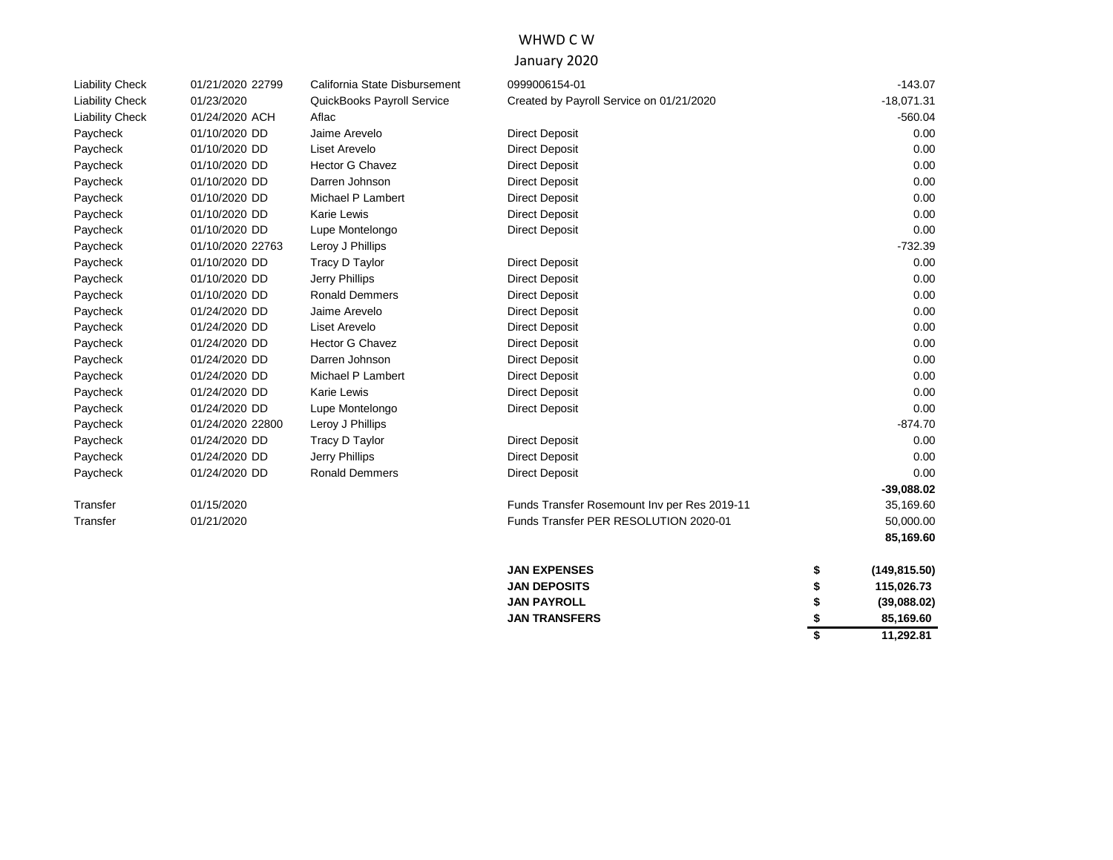# WHWD C W

### January 2020

| <b>Liability Check</b> | 01/21/2020 22799 | California State Disbursement | 0999006154-01                                | $-143.07$           |
|------------------------|------------------|-------------------------------|----------------------------------------------|---------------------|
| <b>Liability Check</b> | 01/23/2020       | QuickBooks Payroll Service    | Created by Payroll Service on 01/21/2020     | $-18,071.31$        |
| <b>Liability Check</b> | 01/24/2020 ACH   | Aflac                         |                                              | $-560.04$           |
| Paycheck               | 01/10/2020 DD    | Jaime Arevelo                 | <b>Direct Deposit</b>                        | 0.00                |
| Paycheck               | 01/10/2020 DD    | Liset Arevelo                 | <b>Direct Deposit</b>                        | 0.00                |
| Paycheck               | 01/10/2020 DD    | <b>Hector G Chavez</b>        | <b>Direct Deposit</b>                        | 0.00                |
| Paycheck               | 01/10/2020 DD    | Darren Johnson                | <b>Direct Deposit</b>                        | 0.00                |
| Paycheck               | 01/10/2020 DD    | Michael P Lambert             | <b>Direct Deposit</b>                        | 0.00                |
| Paycheck               | 01/10/2020 DD    | Karie Lewis                   | <b>Direct Deposit</b>                        | 0.00                |
| Paycheck               | 01/10/2020 DD    | Lupe Montelongo               | <b>Direct Deposit</b>                        | 0.00                |
| Paycheck               | 01/10/2020 22763 | Leroy J Phillips              |                                              | -732.39             |
| Paycheck               | 01/10/2020 DD    | Tracy D Taylor                | <b>Direct Deposit</b>                        | 0.00                |
| Paycheck               | 01/10/2020 DD    | Jerry Phillips                | <b>Direct Deposit</b>                        | 0.00                |
| Paycheck               | 01/10/2020 DD    | <b>Ronald Demmers</b>         | <b>Direct Deposit</b>                        | 0.00                |
| Paycheck               | 01/24/2020 DD    | Jaime Arevelo                 | <b>Direct Deposit</b>                        | 0.00                |
| Paycheck               | 01/24/2020 DD    | Liset Arevelo                 | <b>Direct Deposit</b>                        | 0.00                |
| Paycheck               | 01/24/2020 DD    | <b>Hector G Chavez</b>        | <b>Direct Deposit</b>                        | 0.00                |
| Paycheck               | 01/24/2020 DD    | Darren Johnson                | <b>Direct Deposit</b>                        | 0.00                |
| Paycheck               | 01/24/2020 DD    | Michael P Lambert             | <b>Direct Deposit</b>                        | 0.00                |
| Paycheck               | 01/24/2020 DD    | Karie Lewis                   | <b>Direct Deposit</b>                        | 0.00                |
| Paycheck               | 01/24/2020 DD    | Lupe Montelongo               | <b>Direct Deposit</b>                        | 0.00                |
| Paycheck               | 01/24/2020 22800 | Leroy J Phillips              |                                              | $-874.70$           |
| Paycheck               | 01/24/2020 DD    | Tracy D Taylor                | <b>Direct Deposit</b>                        | 0.00                |
| Paycheck               | 01/24/2020 DD    | Jerry Phillips                | <b>Direct Deposit</b>                        | 0.00                |
| Paycheck               | 01/24/2020 DD    | <b>Ronald Demmers</b>         | <b>Direct Deposit</b>                        | 0.00                |
|                        |                  |                               |                                              | $-39,088.02$        |
| Transfer               | 01/15/2020       |                               | Funds Transfer Rosemount Inv per Res 2019-11 | 35,169.60           |
| Transfer               | 01/21/2020       |                               | Funds Transfer PER RESOLUTION 2020-01        | 50,000.00           |
|                        |                  |                               |                                              | 85,169.60           |
|                        |                  |                               | <b>JAN EXPENSES</b>                          | \$<br>(149, 815.50) |
|                        |                  |                               | <b>JAN DEPOSITS</b>                          | \$<br>115,026.73    |
|                        |                  |                               | <b>JAN PAYROLL</b>                           | \$<br>(39,088.02)   |
|                        |                  |                               | <b>JAN TRANSFERS</b>                         | \$<br>85,169.60     |
|                        |                  |                               |                                              | \$<br>11,292.81     |